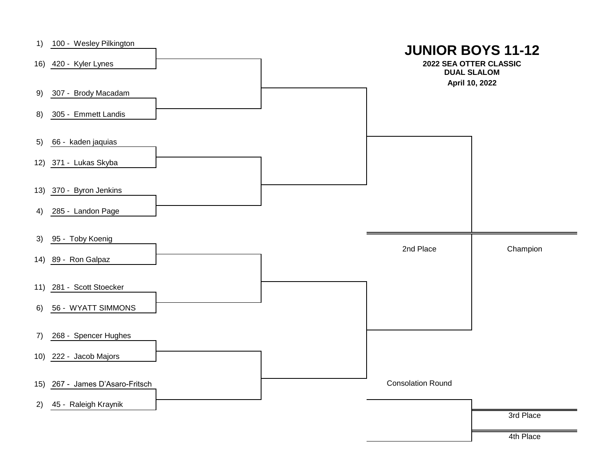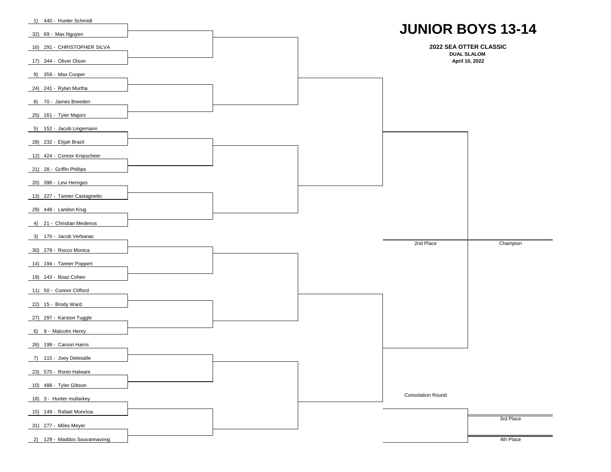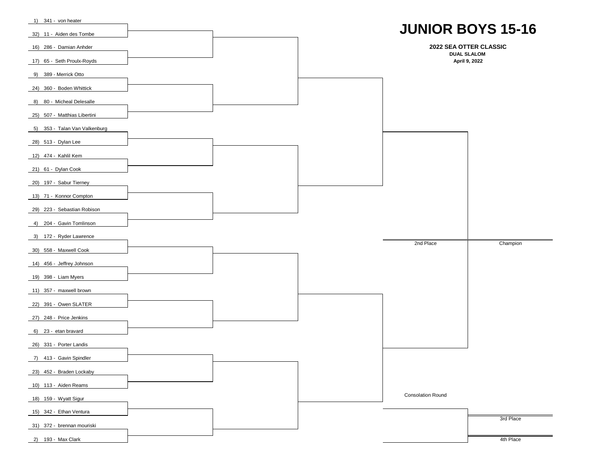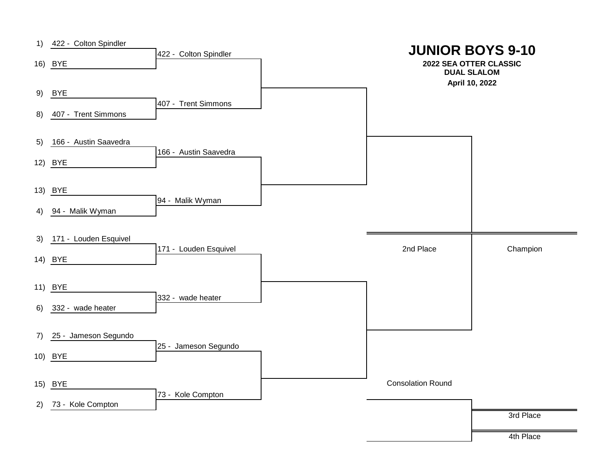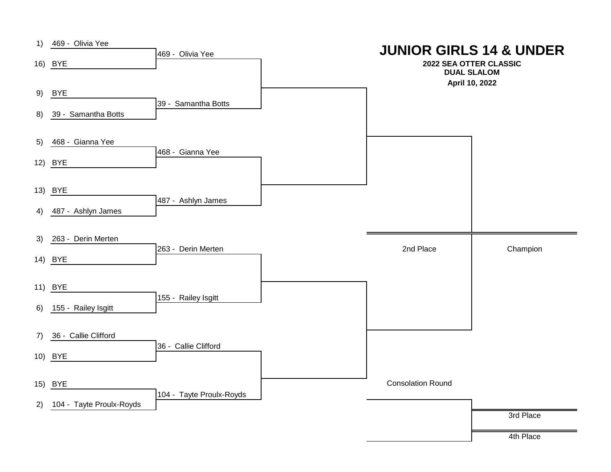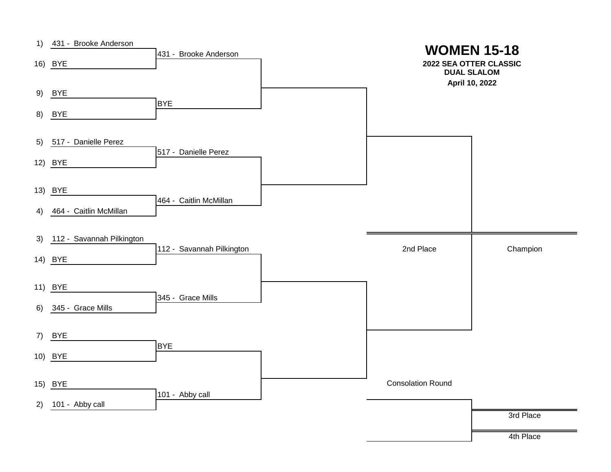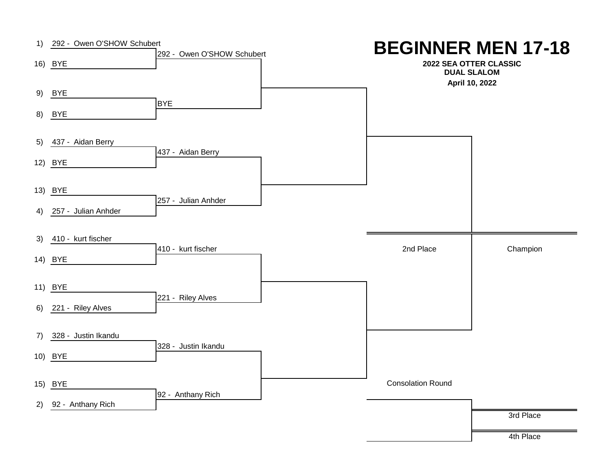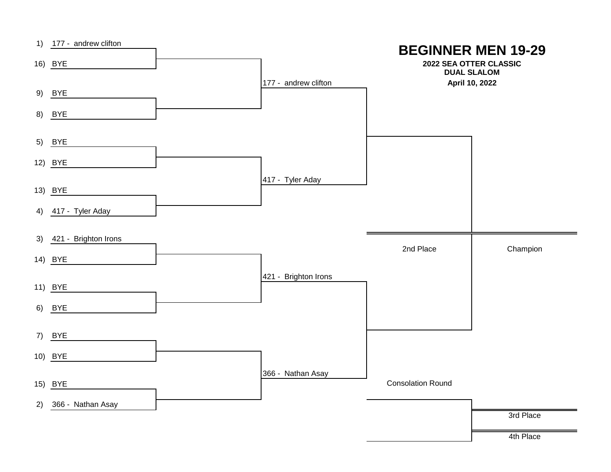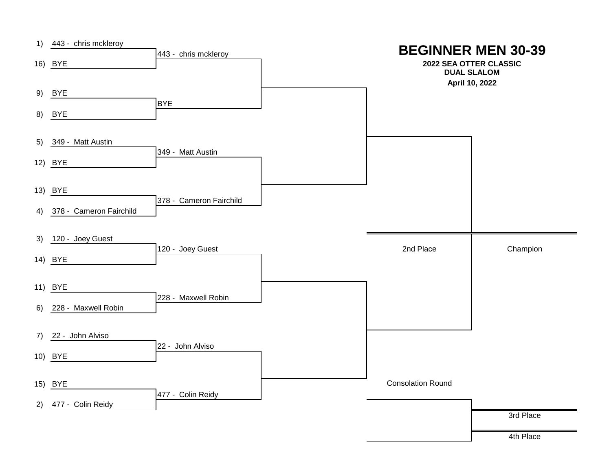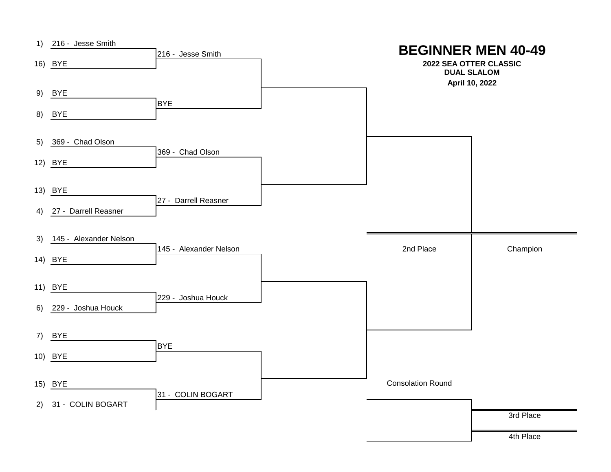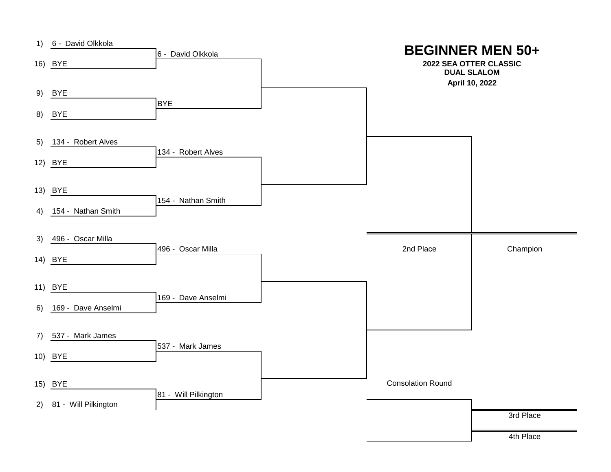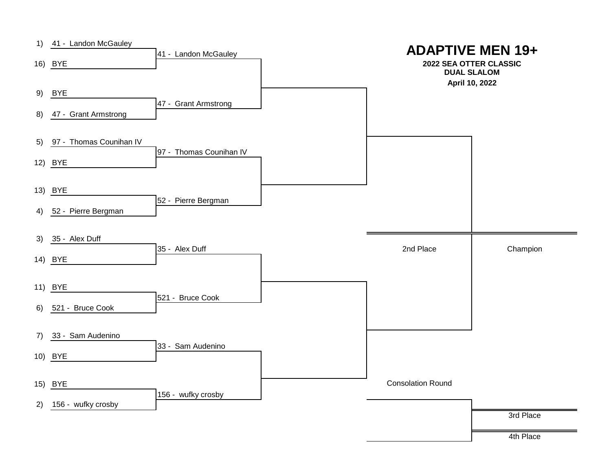